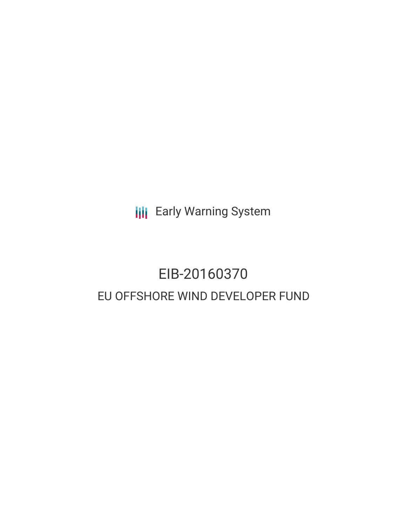**III** Early Warning System

# EIB-20160370 EU OFFSHORE WIND DEVELOPER FUND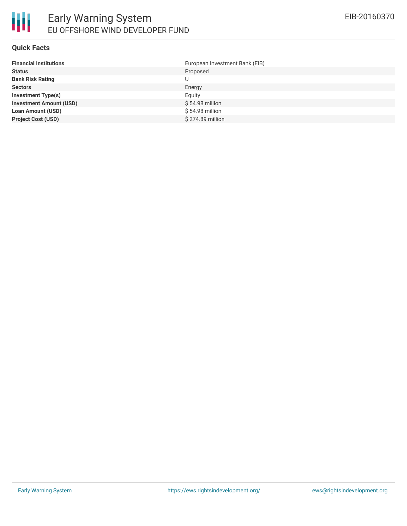### **Quick Facts**

| <b>Financial Institutions</b>  | European Investment Bank (EIB) |
|--------------------------------|--------------------------------|
| <b>Status</b>                  | Proposed                       |
| <b>Bank Risk Rating</b>        | U                              |
| <b>Sectors</b>                 | Energy                         |
| <b>Investment Type(s)</b>      | Equity                         |
| <b>Investment Amount (USD)</b> | $$54.98$ million               |
| <b>Loan Amount (USD)</b>       | \$54.98 million                |
| <b>Project Cost (USD)</b>      | \$274.89 million               |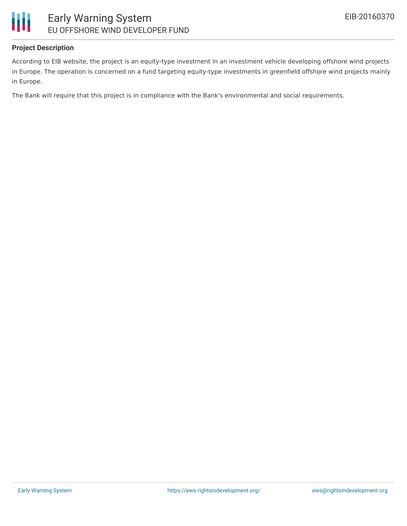

## **Project Description**

According to EIB website, the project is an equity-type investment in an investment vehicle developing offshore wind projects in Europe. The operation is concerned on a fund targeting equity-type investments in greenfield offshore wind projects mainly in Europe.

The Bank will require that this project is in compliance with the Bank's environmental and social requirements.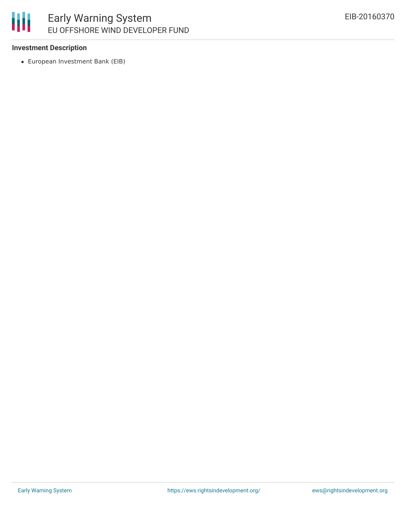## 冊 Early Warning System EU OFFSHORE WIND DEVELOPER FUND

## **Investment Description**

European Investment Bank (EIB)